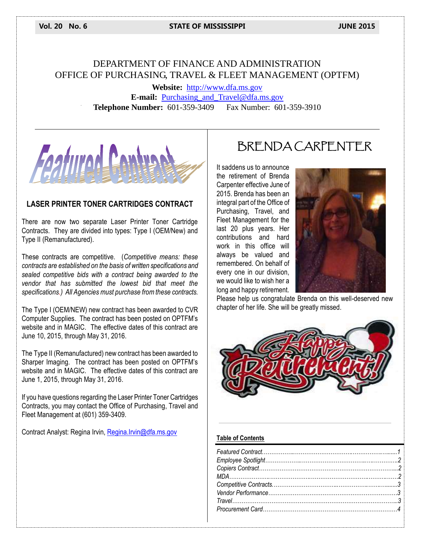#### **Vol. 20 No. 6 STATE OF MISSISSIPPI JUNE 2015**

## DEPARTMENT OF FINANCE AND ADMINISTRATION OFFICE OF PURCHASING, TRAVEL & FLEET MANAGEMENT (OPTFM)

**Website:** [http://www.dfa.ms.gov](http://www.dfa.ms.gov/) **E-mail:** [Purchasing\\_and\\_Travel@dfa.ms.gov](mailto:Purchasing_and_Travel@dfa.ms.gov) **Telephone Number:** 601-359-3409 Fax Number: 601-359-3910



#### **LASER PRINTER TONER CARTRIDGES CONTRACT**

There are now two separate Laser Printer Toner Cartridge Contracts. They are divided into types: Type I (OEM/New) and Type II (Remanufactured).

These contracts are competitive. (*Competitive means: these contracts are established on the basis of written specifications and sealed competitive bids with a contract being awarded to the vendor that has submitted the lowest bid that meet the specifications.) All Agencies must purchase from these contracts.*

The Type I (OEM/NEW) new contract has been awarded to CVR Computer Supplies. The contract has been posted on OPTFM's website and in MAGIC. The effective dates of this contract are June 10, 2015, through May 31, 2016.

The Type II (Remanufactured) new contract has been awarded to Sharper Imaging. The contract has been posted on OPTFM's website and in MAGIC. The effective dates of this contract are June 1, 2015, through May 31, 2016.

If you have questions regarding the Laser Printer Toner Cartridges Contracts, you may contact the Office of Purchasing, Travel and Fleet Management at (601) 359-3409.

Contract Analyst: Regina Irvin, [Regina.Irvin@dfa.ms.gov](mailto:Regina.Irvin@dfa.ms.gov)

# BRENDA CARPENTER

It saddens us to announce the retirement of Brenda Carpenter effective June of 2015. Brenda has been an integral part of the Office of Purchasing, Travel, and Fleet Management for the last 20 plus years. Her contributions and hard work in this office will always be valued and remembered. On behalf of every one in our division, we would like to wish her a long and happy retirement.



Please help us congratulate Brenda on this well-deserved new chapter of her life. She will be greatly missed.



#### **Table of Contents**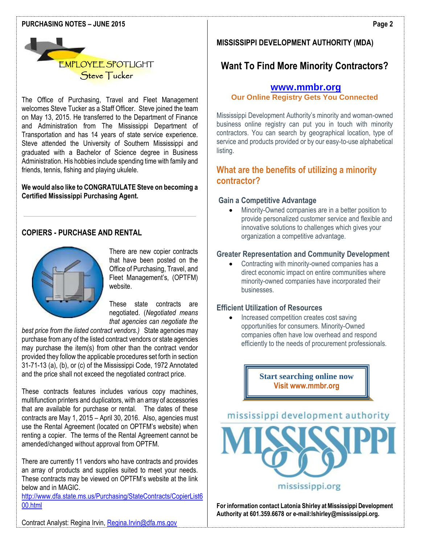#### **PURCHASING NOTES – JUNE 2015**



The Office of Purchasing, Travel and Fleet Management welcomes Steve Tucker as a Staff Officer. Steve joined the team on May 13, 2015. He transferred to the Department of Finance and Administration from The Mississippi Department of Transportation and has 14 years of state service experience. Steve attended the University of Southern Mississippi and graduated with a Bachelor of Science degree in Business Administration. His hobbies include spending time with family and friends, tennis, fishing and playing ukulele.

#### **We would also like to CONGRATULATE Steve on becoming a Certified Mississippi Purchasing Agent.**

#### **COPIERS - PURCHASE AND RENTAL**



There are new copier contracts that have been posted on the Office of Purchasing, Travel, and Fleet Management's, (OPTFM) website.

These state contracts are negotiated. (*Negotiated means that agencies can negotiate the* 

*best price from the listed contract vendors.)* State agencies may purchase from any of the listed contract vendors or state agencies may purchase the item(s) from other than the contract vendor provided they follow the applicable procedures set forth in section 31-71-13 (a), (b), or (c) of the Mississippi Code, 1972 Annotated and the price shall not exceed the negotiated contract price.

These contracts features includes various copy machines, multifunction printers and duplicators, with an array of accessories that are available for purchase or rental. The dates of these contracts are May 1, 2015 – April 30, 2016. Also, agencies must use the Rental Agreement (located on OPTFM's website) when renting a copier. The terms of the Rental Agreement cannot be amended/changed without approval from OPTFM.

There are currently 11 vendors who have contracts and provides an array of products and supplies suited to meet your needs. These contracts may be viewed on OPTFM's website at the link below and in MAGIC.

[http://www.dfa.state.ms.us/Purchasing/StateContracts/CopierList6](http://www.dfa.state.ms.us/Purchasing/StateContracts/CopierList600.html) [00.html](http://www.dfa.state.ms.us/Purchasing/StateContracts/CopierList600.html)

#### **MISSISSIPPI DEVELOPMENT AUTHORITY (MDA)**

# **Want To Find More Minority Contractors?**

### **[www.mmbr.org](http://www.mmbr.org/)**

**Our Online Registry Gets You Connected**

Mississippi Development Authority's minority and woman-owned business online registry can put you in touch with minority contractors. You can search by geographical location, type of service and products provided or by our easy-to-use alphabetical listing.

### **What are the benefits of utilizing a minority contractor?**

#### **Gain a Competitive Advantage**

 Minority-Owned companies are in a better position to provide personalized customer service and flexible and innovative solutions to challenges which gives your organization a competitive advantage.

#### **Greater Representation and Community Development**

• Contracting with minority-owned companies has a direct economic impact on entire communities where minority-owned companies have incorporated their businesses.

#### **Efficient Utilization of Resources**

 Increased competition creates cost saving opportunities for consumers. Minority-Owned companies often have low overhead and respond efficiently to the needs of procurement professionals.

> **Start searching online now Visit www.mmbr.org**



mississippi.org

**For information contact Latonia Shirley at Mississippi Development Authority at 601.359.6678 or e-mail:lshirley@mississippi.org.**

Contract Analyst: Regina Irvin, [Regina.Irvin@dfa.ms.gov](mailto:Regina.Irvin@dfa.ms.gov)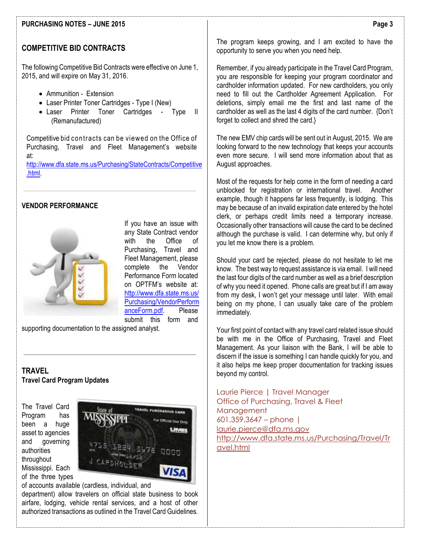#### **PURCHASING NOTES – JUNE 2015**

#### **COMPETITIVE BID CONTRACTS**

The following Competitive Bid Contracts were effective on June 1, 2015, and will expire on May 31, 2016.

- Ammunition Extension
- Laser Printer Toner Cartridges Type I (New)
- Laser Printer Toner Cartridges Type II (Remanufactured)

Competitive bid contracts can be viewed on the Office of Purchasing, Travel and Fleet Management's website at: [http://www.dfa.state.ms.us/Purchasing/StateContracts/Competitive](http://www.dfa.state.ms.us/Purchasing/StateContracts/Competitive.html)

[.html.](http://www.dfa.state.ms.us/Purchasing/StateContracts/Competitive.html)

#### **VENDOR PERFORMANCE**



If you have an issue with any State Contract vendor with the Office of Purchasing, Travel and Fleet Management, please complete the Vendor Performance Form located on OPTFM's website at: [http://www.dfa.state.ms.us/](http://www.dfa.state.ms.us/Purchasing/VendorPerformanceForm.pdf) [Purchasing/VendorPerform](http://www.dfa.state.ms.us/Purchasing/VendorPerformanceForm.pdf) [anceForm.pdf.](http://www.dfa.state.ms.us/Purchasing/VendorPerformanceForm.pdf) Please submit this form and

supporting documentation to the assigned analyst.

#### **TRAVEL Travel Card Program Updates**

The Travel Card Program has been a huge asset to agencies and governing authorities throughout Mississippi. Each of the three types



of accounts available (cardless, individual, and

department) allow travelers on official state business to book airfare, lodging, vehicle rental services, and a host of other authorized transactions as outlined in the Travel Card Guidelines.

The program keeps growing, and I am excited to have the opportunity to serve you when you need help.

Remember, if you already participate in the Travel Card Program, you are responsible for keeping your program coordinator and cardholder information updated. For new cardholders, you only need to fill out the Cardholder Agreement Application. For deletions, simply email me the first and last name of the cardholder as well as the last 4 digits of the card number. {Don't forget to collect and shred the card.}

The new EMV chip cards will be sent out in August, 2015. We are looking forward to the new technology that keeps your accounts even more secure. I will send more information about that as August approaches.

 unblocked for registration or international travel. Another Most of the requests for help come in the form of needing a card example, though it happens far less frequently, is lodging. This may be because of an invalid expiration date entered by the hotel clerk, or perhaps credit limits need a temporary increase. Occasionally other transactions will cause the card to be declined although the purchase is valid. I can determine why, but only if you let me know there is a problem.

Should your card be rejected, please do not hesitate to let me know. The best way to request assistance is via email. I will need the last four digits of the card number as well as a brief description of why you need it opened. Phone calls are great but if I am away from my desk, I won't get your message until later. With email being on my phone, I can usually take care of the problem immediately.

Your first point of contact with any travel card related issue should be with me in the Office of Purchasing, Travel and Fleet Management. As your liaison with the Bank, I will be able to discern if the issue is something I can handle quickly for you, and it also helps me keep proper documentation for tracking issues beyond my control.

Laurie Pierce | Travel Manager Office of Purchasing, Travel & Fleet Management 601.359.3647 – phone | [laurie.pierce@dfa.ms.gov](mailto:laurie.pierce@dfa.ms.gov) [http://www.dfa.state.ms.us/Purchasing/Travel/Tr](http://www.dfa.state.ms.us/Purchasing/Travel/Travel.html) [avel.html](http://www.dfa.state.ms.us/Purchasing/Travel/Travel.html)